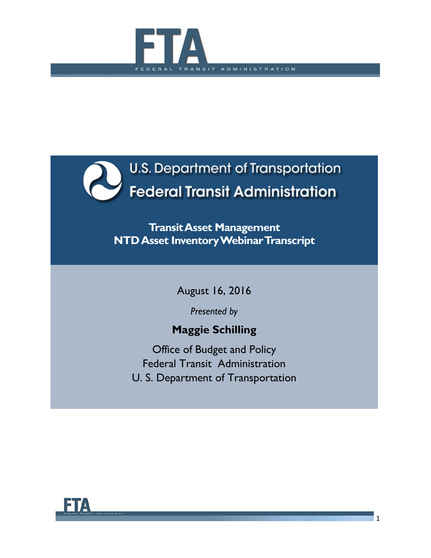



**TransitAsset Management NTD Asset InventoryWebinar Transcript**

August 16, 2016

*Presented by*

# **Maggie Schilling**

Office of Budget and Policy Federal Transit Administration U. S. Department of Transportation

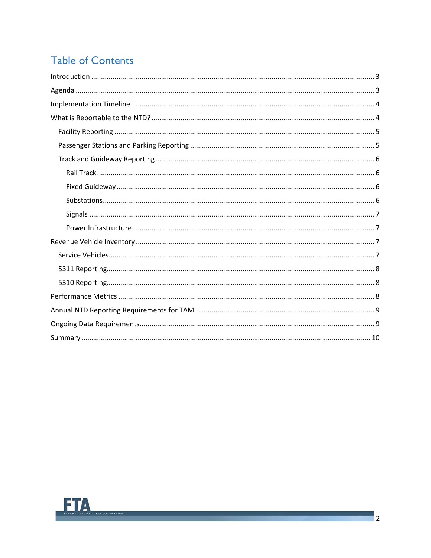# **Table of Contents**

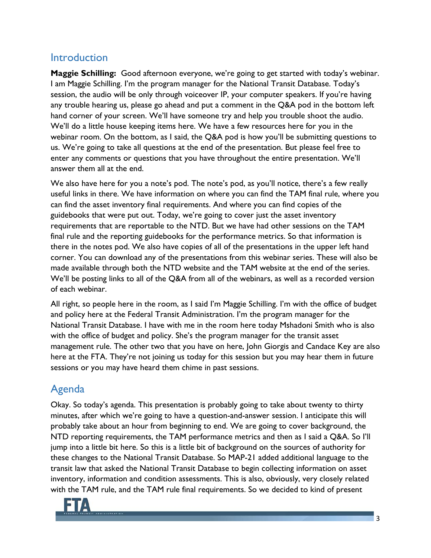### <span id="page-2-0"></span>Introduction

**Maggie Schilling:** Good afternoon everyone, we're going to get started with today's webinar. I am Maggie Schilling. I'm the program manager for the National Transit Database. Today's session, the audio will be only through voiceover IP, your computer speakers. If you're having any trouble hearing us, please go ahead and put a comment in the Q&A pod in the bottom left hand corner of your screen. We'll have someone try and help you trouble shoot the audio. We'll do a little house keeping items here. We have a few resources here for you in the webinar room. On the bottom, as I said, the Q&A pod is how you'll be submitting questions to us. We're going to take all questions at the end of the presentation. But please feel free to enter any comments or questions that you have throughout the entire presentation. We'll answer them all at the end.

We also have here for you a note's pod. The note's pod, as you'll notice, there's a few really useful links in there. We have information on where you can find the TAM final rule, where you can find the asset inventory final requirements. And where you can find copies of the guidebooks that were put out. Today, we're going to cover just the asset inventory requirements that are reportable to the NTD. But we have had other sessions on the TAM final rule and the reporting guidebooks for the performance metrics. So that information is there in the notes pod. We also have copies of all of the presentations in the upper left hand corner. You can download any of the presentations from this webinar series. These will also be made available through both the NTD website and the TAM website at the end of the series. We'll be posting links to all of the Q&A from all of the webinars, as well as a recorded version of each webinar.

All right, so people here in the room, as I said I'm Maggie Schilling. I'm with the office of budget and policy here at the Federal Transit Administration. I'm the program manager for the National Transit Database. I have with me in the room here today Mshadoni Smith who is also with the office of budget and policy. She's the program manager for the transit asset management rule. The other two that you have on here, John Giorgis and Candace Key are also here at the FTA. They're not joining us today for this session but you may hear them in future sessions or you may have heard them chime in past sessions.

## <span id="page-2-1"></span>Agenda

Okay. So today's agenda. This presentation is probably going to take about twenty to thirty minutes, after which we're going to have a question-and-answer session. I anticipate this will probably take about an hour from beginning to end. We are going to cover background, the NTD reporting requirements, the TAM performance metrics and then as I said a Q&A. So I'll jump into a little bit here. So this is a little bit of background on the sources of authority for these changes to the National Transit Database. So MAP-21 added additional language to the transit law that asked the National Transit Database to begin collecting information on asset inventory, information and condition assessments. This is also, obviously, very closely related with the TAM rule, and the TAM rule final requirements. So we decided to kind of present

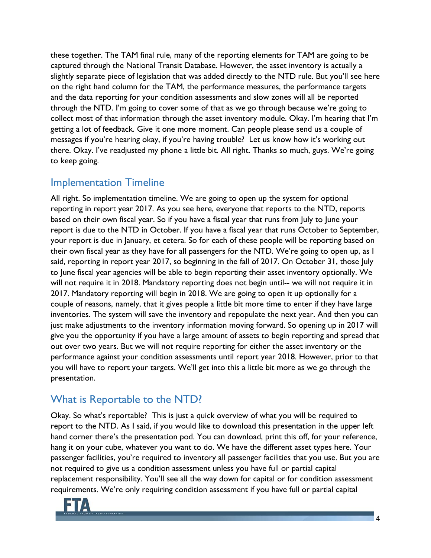these together. The TAM final rule, many of the reporting elements for TAM are going to be captured through the National Transit Database. However, the asset inventory is actually a slightly separate piece of legislation that was added directly to the NTD rule. But you'll see here on the right hand column for the TAM, the performance measures, the performance targets and the data reporting for your condition assessments and slow zones will all be reported through the NTD. I'm going to cover some of that as we go through because we're going to collect most of that information through the asset inventory module. Okay. I'm hearing that I'm getting a lot of feedback. Give it one more moment. Can people please send us a couple of messages if you're hearing okay, if you're having trouble? Let us know how it's working out there. Okay. I've readjusted my phone a little bit. All right. Thanks so much, guys. We're going to keep going.

### <span id="page-3-0"></span>Implementation Timeline

All right. So implementation timeline. We are going to open up the system for optional reporting in report year 2017. As you see here, everyone that reports to the NTD, reports based on their own fiscal year. So if you have a fiscal year that runs from July to June your report is due to the NTD in October. If you have a fiscal year that runs October to September, your report is due in January, et cetera. So for each of these people will be reporting based on their own fiscal year as they have for all passengers for the NTD. We're going to open up, as I said, reporting in report year 2017, so beginning in the fall of 2017. On October 31, those July to June fiscal year agencies will be able to begin reporting their asset inventory optionally. We will not require it in 2018. Mandatory reporting does not begin until-- we will not require it in 2017. Mandatory reporting will begin in 2018. We are going to open it up optionally for a couple of reasons, namely, that it gives people a little bit more time to enter if they have large inventories. The system will save the inventory and repopulate the next year. And then you can just make adjustments to the inventory information moving forward. So opening up in 2017 will give you the opportunity if you have a large amount of assets to begin reporting and spread that out over two years. But we will not require reporting for either the asset inventory or the performance against your condition assessments until report year 2018. However, prior to that you will have to report your targets. We'll get into this a little bit more as we go through the presentation.

## <span id="page-3-1"></span>What is Reportable to the NTD?

Okay. So what's reportable? This is just a quick overview of what you will be required to report to the NTD. As I said, if you would like to download this presentation in the upper left hand corner there's the presentation pod. You can download, print this off, for your reference, hang it on your cube, whatever you want to do. We have the different asset types here. Your passenger facilities, you're required to inventory all passenger facilities that you use. But you are not required to give us a condition assessment unless you have full or partial capital replacement responsibility. You'll see all the way down for capital or for condition assessment requirements. We're only requiring condition assessment if you have full or partial capital

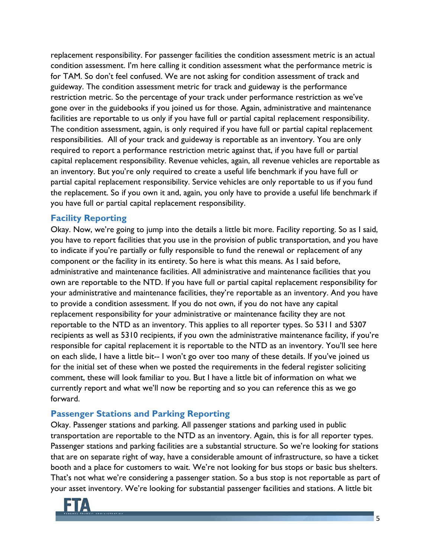replacement responsibility. For passenger facilities the condition assessment metric is an actual condition assessment. I'm here calling it condition assessment what the performance metric is for TAM. So don't feel confused. We are not asking for condition assessment of track and guideway. The condition assessment metric for track and guideway is the performance restriction metric. So the percentage of your track under performance restriction as we've gone over in the guidebooks if you joined us for those. Again, administrative and maintenance facilities are reportable to us only if you have full or partial capital replacement responsibility. The condition assessment, again, is only required if you have full or partial capital replacement responsibilities. All of your track and guideway is reportable as an inventory. You are only required to report a performance restriction metric against that, if you have full or partial capital replacement responsibility. Revenue vehicles, again, all revenue vehicles are reportable as an inventory. But you're only required to create a useful life benchmark if you have full or partial capital replacement responsibility. Service vehicles are only reportable to us if you fund the replacement. So if you own it and, again, you only have to provide a useful life benchmark if you have full or partial capital replacement responsibility.

#### <span id="page-4-0"></span>**Facility Reporting**

Okay. Now, we're going to jump into the details a little bit more. Facility reporting. So as I said, you have to report facilities that you use in the provision of public transportation, and you have to indicate if you're partially or fully responsible to fund the renewal or replacement of any component or the facility in its entirety. So here is what this means. As I said before, administrative and maintenance facilities. All administrative and maintenance facilities that you own are reportable to the NTD. If you have full or partial capital replacement responsibility for your administrative and maintenance facilities, they're reportable as an inventory. And you have to provide a condition assessment. If you do not own, if you do not have any capital replacement responsibility for your administrative or maintenance facility they are not reportable to the NTD as an inventory. This applies to all reporter types. So 5311 and 5307 recipients as well as 5310 recipients, if you own the administrative maintenance facility, if you're responsible for capital replacement it is reportable to the NTD as an inventory. You'll see here on each slide, I have a little bit-- I won't go over too many of these details. If you've joined us for the initial set of these when we posted the requirements in the federal register soliciting comment, these will look familiar to you. But I have a little bit of information on what we currently report and what we'll now be reporting and so you can reference this as we go forward.

#### <span id="page-4-1"></span>**Passenger Stations and Parking Reporting**

Okay. Passenger stations and parking. All passenger stations and parking used in public transportation are reportable to the NTD as an inventory. Again, this is for all reporter types. Passenger stations and parking facilities are a substantial structure. So we're looking for stations that are on separate right of way, have a considerable amount of infrastructure, so have a ticket booth and a place for customers to wait. We're not looking for bus stops or basic bus shelters. That's not what we're considering a passenger station. So a bus stop is not reportable as part of your asset inventory. We're looking for substantial passenger facilities and stations. A little bit

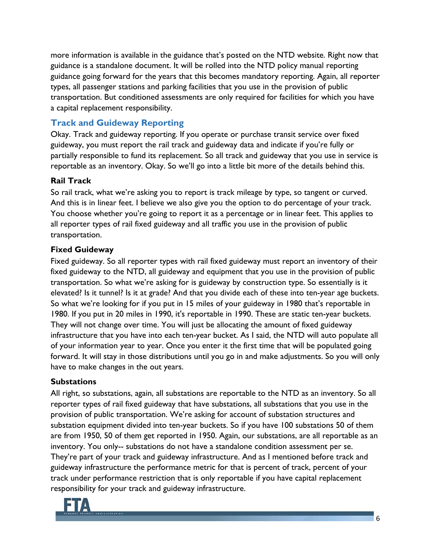more information is available in the guidance that's posted on the NTD website. Right now that guidance is a standalone document. It will be rolled into the NTD policy manual reporting guidance going forward for the years that this becomes mandatory reporting. Again, all reporter types, all passenger stations and parking facilities that you use in the provision of public transportation. But conditioned assessments are only required for facilities for which you have a capital replacement responsibility.

### <span id="page-5-0"></span>**Track and Guideway Reporting**

Okay. Track and guideway reporting. If you operate or purchase transit service over fixed guideway, you must report the rail track and guideway data and indicate if you're fully or partially responsible to fund its replacement. So all track and guideway that you use in service is reportable as an inventory. Okay. So we'll go into a little bit more of the details behind this.

#### <span id="page-5-1"></span>**Rail Track**

So rail track, what we're asking you to report is track mileage by type, so tangent or curved. And this is in linear feet. I believe we also give you the option to do percentage of your track. You choose whether you're going to report it as a percentage or in linear feet. This applies to all reporter types of rail fixed guideway and all traffic you use in the provision of public transportation.

### <span id="page-5-2"></span>**Fixed Guideway**

Fixed guideway. So all reporter types with rail fixed guideway must report an inventory of their fixed guideway to the NTD, all guideway and equipment that you use in the provision of public transportation. So what we're asking for is guideway by construction type. So essentially is it elevated? Is it tunnel? Is it at grade? And that you divide each of these into ten-year age buckets. So what we're looking for if you put in 15 miles of your guideway in 1980 that's reportable in 1980. If you put in 20 miles in 1990, it's reportable in 1990. These are static ten-year buckets. They will not change over time. You will just be allocating the amount of fixed guideway infrastructure that you have into each ten-year bucket. As I said, the NTD will auto populate all of your information year to year. Once you enter it the first time that will be populated going forward. It will stay in those distributions until you go in and make adjustments. So you will only have to make changes in the out years.

#### <span id="page-5-3"></span>**Substations**

All right, so substations, again, all substations are reportable to the NTD as an inventory. So all reporter types of rail fixed guideway that have substations, all substations that you use in the provision of public transportation. We're asking for account of substation structures and substation equipment divided into ten-year buckets. So if you have 100 substations 50 of them are from 1950, 50 of them get reported in 1950. Again, our substations, are all reportable as an inventory. You only-- substations do not have a standalone condition assessment per se. They're part of your track and guideway infrastructure. And as I mentioned before track and guideway infrastructure the performance metric for that is percent of track, percent of your track under performance restriction that is only reportable if you have capital replacement responsibility for your track and guideway infrastructure.

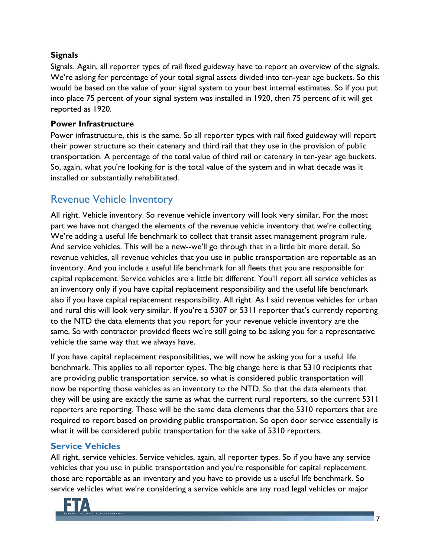#### <span id="page-6-0"></span>**Signals**

Signals. Again, all reporter types of rail fixed guideway have to report an overview of the signals. We're asking for percentage of your total signal assets divided into ten-year age buckets. So this would be based on the value of your signal system to your best internal estimates. So if you put into place 75 percent of your signal system was installed in 1920, then 75 percent of it will get reported as 1920.

#### <span id="page-6-1"></span>**Power Infrastructure**

Power infrastructure, this is the same. So all reporter types with rail fixed guideway will report their power structure so their catenary and third rail that they use in the provision of public transportation. A percentage of the total value of third rail or catenary in ten-year age buckets. So, again, what you're looking for is the total value of the system and in what decade was it installed or substantially rehabilitated.

## <span id="page-6-2"></span>Revenue Vehicle Inventory

All right. Vehicle inventory. So revenue vehicle inventory will look very similar. For the most part we have not changed the elements of the revenue vehicle inventory that we're collecting. We're adding a useful life benchmark to collect that transit asset management program rule. And service vehicles. This will be a new--we'll go through that in a little bit more detail. So revenue vehicles, all revenue vehicles that you use in public transportation are reportable as an inventory. And you include a useful life benchmark for all fleets that you are responsible for capital replacement. Service vehicles are a little bit different. You'll report all service vehicles as an inventory only if you have capital replacement responsibility and the useful life benchmark also if you have capital replacement responsibility. All right. As I said revenue vehicles for urban and rural this will look very similar. If you're a 5307 or 5311 reporter that's currently reporting to the NTD the data elements that you report for your revenue vehicle inventory are the same. So with contractor provided fleets we're still going to be asking you for a representative vehicle the same way that we always have.

If you have capital replacement responsibilities, we will now be asking you for a useful life benchmark. This applies to all reporter types. The big change here is that 5310 recipients that are providing public transportation service, so what is considered public transportation will now be reporting those vehicles as an inventory to the NTD. So that the data elements that they will be using are exactly the same as what the current rural reporters, so the current 5311 reporters are reporting. Those will be the same data elements that the 5310 reporters that are required to report based on providing public transportation. So open door service essentially is what it will be considered public transportation for the sake of 5310 reporters.

### <span id="page-6-3"></span>**Service Vehicles**

All right, service vehicles. Service vehicles, again, all reporter types. So if you have any service vehicles that you use in public transportation and you're responsible for capital replacement those are reportable as an inventory and you have to provide us a useful life benchmark. So service vehicles what we're considering a service vehicle are any road legal vehicles or major

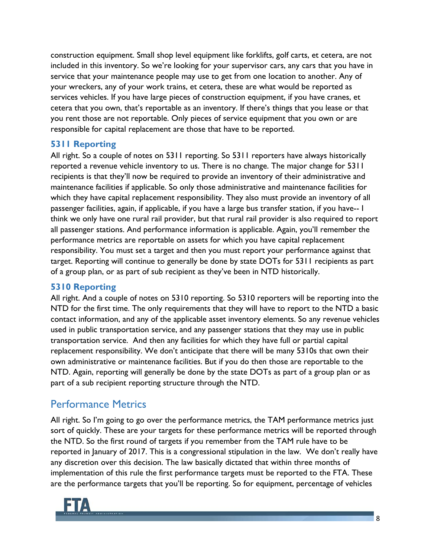construction equipment. Small shop level equipment like forklifts, golf carts, et cetera, are not included in this inventory. So we're looking for your supervisor cars, any cars that you have in service that your maintenance people may use to get from one location to another. Any of your wreckers, any of your work trains, et cetera, these are what would be reported as services vehicles. If you have large pieces of construction equipment, if you have cranes, et cetera that you own, that's reportable as an inventory. If there's things that you lease or that you rent those are not reportable. Only pieces of service equipment that you own or are responsible for capital replacement are those that have to be reported.

#### <span id="page-7-0"></span>**5311 Reporting**

All right. So a couple of notes on 5311 reporting. So 5311 reporters have always historically reported a revenue vehicle inventory to us. There is no change. The major change for 5311 recipients is that they'll now be required to provide an inventory of their administrative and maintenance facilities if applicable. So only those administrative and maintenance facilities for which they have capital replacement responsibility. They also must provide an inventory of all passenger facilities, again, if applicable, if you have a large bus transfer station, if you have-- I think we only have one rural rail provider, but that rural rail provider is also required to report all passenger stations. And performance information is applicable. Again, you'll remember the performance metrics are reportable on assets for which you have capital replacement responsibility. You must set a target and then you must report your performance against that target. Reporting will continue to generally be done by state DOTs for 5311 recipients as part of a group plan, or as part of sub recipient as they've been in NTD historically.

#### <span id="page-7-1"></span>**5310 Reporting**

All right. And a couple of notes on 5310 reporting. So 5310 reporters will be reporting into the NTD for the first time. The only requirements that they will have to report to the NTD a basic contact information, and any of the applicable asset inventory elements. So any revenue vehicles used in public transportation service, and any passenger stations that they may use in public transportation service. And then any facilities for which they have full or partial capital replacement responsibility. We don't anticipate that there will be many 5310s that own their own administrative or maintenance facilities. But if you do then those are reportable to the NTD. Again, reporting will generally be done by the state DOTs as part of a group plan or as part of a sub recipient reporting structure through the NTD.

### <span id="page-7-2"></span>Performance Metrics

All right. So I'm going to go over the performance metrics, the TAM performance metrics just sort of quickly. These are your targets for these performance metrics will be reported through the NTD. So the first round of targets if you remember from the TAM rule have to be reported in January of 2017. This is a congressional stipulation in the law. We don't really have any discretion over this decision. The law basically dictated that within three months of implementation of this rule the first performance targets must be reported to the FTA. These are the performance targets that you'll be reporting. So for equipment, percentage of vehicles

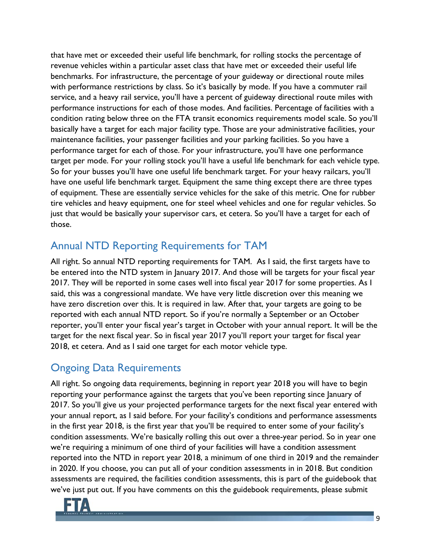that have met or exceeded their useful life benchmark, for rolling stocks the percentage of revenue vehicles within a particular asset class that have met or exceeded their useful life benchmarks. For infrastructure, the percentage of your guideway or directional route miles with performance restrictions by class. So it's basically by mode. If you have a commuter rail service, and a heavy rail service, you'll have a percent of guideway directional route miles with performance instructions for each of those modes. And facilities. Percentage of facilities with a condition rating below three on the FTA transit economics requirements model scale. So you'll basically have a target for each major facility type. Those are your administrative facilities, your maintenance facilities, your passenger facilities and your parking facilities. So you have a performance target for each of those. For your infrastructure, you'll have one performance target per mode. For your rolling stock you'll have a useful life benchmark for each vehicle type. So for your busses you'll have one useful life benchmark target. For your heavy railcars, you'll have one useful life benchmark target. Equipment the same thing except there are three types of equipment. These are essentially service vehicles for the sake of this metric. One for rubber tire vehicles and heavy equipment, one for steel wheel vehicles and one for regular vehicles. So just that would be basically your supervisor cars, et cetera. So you'll have a target for each of those.

## <span id="page-8-0"></span>Annual NTD Reporting Requirements for TAM

All right. So annual NTD reporting requirements for TAM. As I said, the first targets have to be entered into the NTD system in January 2017. And those will be targets for your fiscal year 2017. They will be reported in some cases well into fiscal year 2017 for some properties. As I said, this was a congressional mandate. We have very little discretion over this meaning we have zero discretion over this. It is required in law. After that, your targets are going to be reported with each annual NTD report. So if you're normally a September or an October reporter, you'll enter your fiscal year's target in October with your annual report. It will be the target for the next fiscal year. So in fiscal year 2017 you'll report your target for fiscal year 2018, et cetera. And as I said one target for each motor vehicle type.

## <span id="page-8-1"></span>Ongoing Data Requirements

All right. So ongoing data requirements, beginning in report year 2018 you will have to begin reporting your performance against the targets that you've been reporting since January of 2017. So you'll give us your projected performance targets for the next fiscal year entered with your annual report, as I said before. For your facility's conditions and performance assessments in the first year 2018, is the first year that you'll be required to enter some of your facility's condition assessments. We're basically rolling this out over a three-year period. So in year one we're requiring a minimum of one third of your facilities will have a condition assessment reported into the NTD in report year 2018, a minimum of one third in 2019 and the remainder in 2020. If you choose, you can put all of your condition assessments in in 2018. But condition assessments are required, the facilities condition assessments, this is part of the guidebook that we've just put out. If you have comments on this the guidebook requirements, please submit